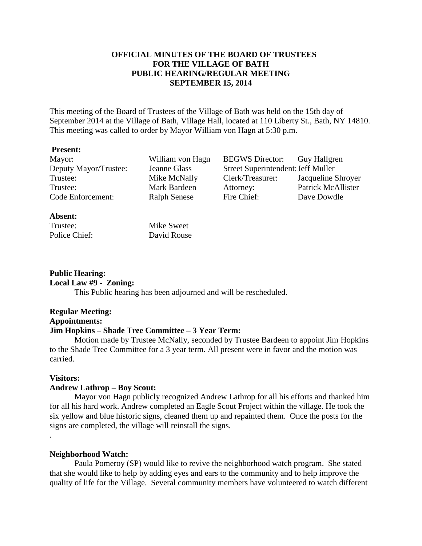# **OFFICIAL MINUTES OF THE BOARD OF TRUSTEES FOR THE VILLAGE OF BATH PUBLIC HEARING/REGULAR MEETING SEPTEMBER 15, 2014**

This meeting of the Board of Trustees of the Village of Bath was held on the 15th day of September 2014 at the Village of Bath, Village Hall, located at 110 Liberty St., Bath, NY 14810. This meeting was called to order by Mayor William von Hagn at 5:30 p.m.

#### **Present:**

Mayor: William von Hagn BEGWS Director: Guy Hallgren Deputy Mayor/Trustee: Jeanne Glass Street Superintendent:Jeff Muller Trustee: Mike McNally Clerk/Treasurer: Jacqueline Shroyer Trustee: Mark Bardeen Attorney: Patrick McAllister Code Enforcement: Ralph Senese Fire Chief: Dave Dowdle

### **Absent:**

Trustee: Mike Sweet Police Chief: David Rouse

### **Public Hearing:**

### **Local Law #9 - Zoning:**

This Public hearing has been adjourned and will be rescheduled.

# **Regular Meeting: Appointments: Jim Hopkins – Shade Tree Committee – 3 Year Term:**

Motion made by Trustee McNally, seconded by Trustee Bardeen to appoint Jim Hopkins to the Shade Tree Committee for a 3 year term. All present were in favor and the motion was carried.

### **Visitors:**

.

### **Andrew Lathrop – Boy Scout:**

Mayor von Hagn publicly recognized Andrew Lathrop for all his efforts and thanked him for all his hard work. Andrew completed an Eagle Scout Project within the village. He took the six yellow and blue historic signs, cleaned them up and repainted them. Once the posts for the signs are completed, the village will reinstall the signs.

### **Neighborhood Watch:**

Paula Pomeroy (SP) would like to revive the neighborhood watch program. She stated that she would like to help by adding eyes and ears to the community and to help improve the quality of life for the Village. Several community members have volunteered to watch different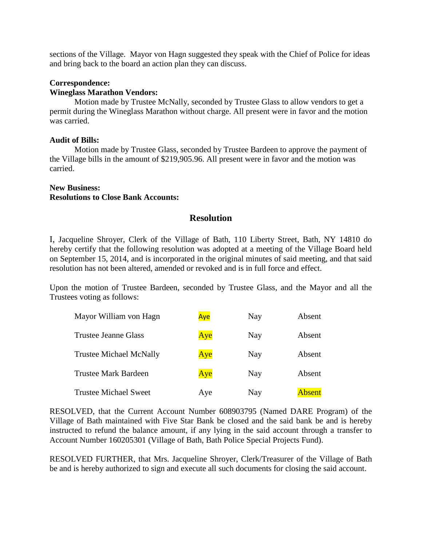sections of the Village. Mayor von Hagn suggested they speak with the Chief of Police for ideas and bring back to the board an action plan they can discuss.

# **Correspondence:**

# **Wineglass Marathon Vendors:**

Motion made by Trustee McNally, seconded by Trustee Glass to allow vendors to get a permit during the Wineglass Marathon without charge. All present were in favor and the motion was carried.

# **Audit of Bills:**

Motion made by Trustee Glass, seconded by Trustee Bardeen to approve the payment of the Village bills in the amount of \$219,905.96. All present were in favor and the motion was carried.

#### **New Business: Resolutions to Close Bank Accounts:**

# **Resolution**

I, Jacqueline Shroyer, Clerk of the Village of Bath, 110 Liberty Street, Bath, NY 14810 do hereby certify that the following resolution was adopted at a meeting of the Village Board held on September 15, 2014, and is incorporated in the original minutes of said meeting, and that said resolution has not been altered, amended or revoked and is in full force and effect.

Upon the motion of Trustee Bardeen, seconded by Trustee Glass, and the Mayor and all the Trustees voting as follows:

| Mayor William von Hagn         | Aye | Nay | Absent        |
|--------------------------------|-----|-----|---------------|
| Trustee Jeanne Glass           | Aye | Nay | Absent        |
| <b>Trustee Michael McNally</b> | Aye | Nay | Absent        |
| <b>Trustee Mark Bardeen</b>    | Aye | Nay | Absent        |
| <b>Trustee Michael Sweet</b>   | Aye | Nay | <b>Absent</b> |

RESOLVED, that the Current Account Number 608903795 (Named DARE Program) of the Village of Bath maintained with Five Star Bank be closed and the said bank be and is hereby instructed to refund the balance amount, if any lying in the said account through a transfer to Account Number 160205301 (Village of Bath, Bath Police Special Projects Fund).

RESOLVED FURTHER, that Mrs. Jacqueline Shroyer, Clerk/Treasurer of the Village of Bath be and is hereby authorized to sign and execute all such documents for closing the said account.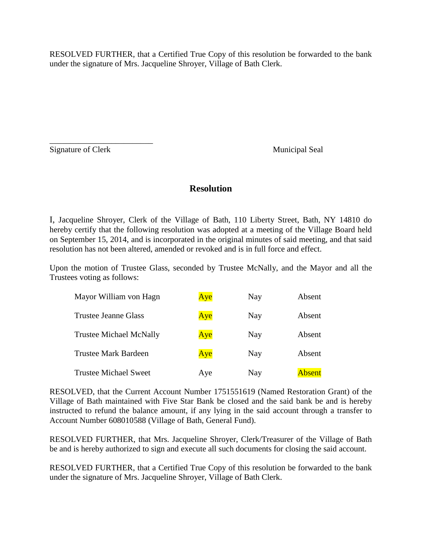RESOLVED FURTHER, that a Certified True Copy of this resolution be forwarded to the bank under the signature of Mrs. Jacqueline Shroyer, Village of Bath Clerk.

Signature of Clerk Municipal Seal

\_\_\_\_\_\_\_\_\_\_\_\_\_\_\_\_\_\_\_\_\_\_\_\_\_

# **Resolution**

I, Jacqueline Shroyer, Clerk of the Village of Bath, 110 Liberty Street, Bath, NY 14810 do hereby certify that the following resolution was adopted at a meeting of the Village Board held on September 15, 2014, and is incorporated in the original minutes of said meeting, and that said resolution has not been altered, amended or revoked and is in full force and effect.

Upon the motion of Trustee Glass, seconded by Trustee McNally, and the Mayor and all the Trustees voting as follows:

| Mayor William von Hagn         | Aye | Nay | Absent        |
|--------------------------------|-----|-----|---------------|
| Trustee Jeanne Glass           | Aye | Nay | <b>Absent</b> |
| <b>Trustee Michael McNally</b> | Aye | Nay | Absent        |
| <b>Trustee Mark Bardeen</b>    | Aye | Nay | Absent        |
| <b>Trustee Michael Sweet</b>   | Aye | Nay | <b>Absent</b> |

RESOLVED, that the Current Account Number 1751551619 (Named Restoration Grant) of the Village of Bath maintained with Five Star Bank be closed and the said bank be and is hereby instructed to refund the balance amount, if any lying in the said account through a transfer to Account Number 608010588 (Village of Bath, General Fund).

RESOLVED FURTHER, that Mrs. Jacqueline Shroyer, Clerk/Treasurer of the Village of Bath be and is hereby authorized to sign and execute all such documents for closing the said account.

RESOLVED FURTHER, that a Certified True Copy of this resolution be forwarded to the bank under the signature of Mrs. Jacqueline Shroyer, Village of Bath Clerk.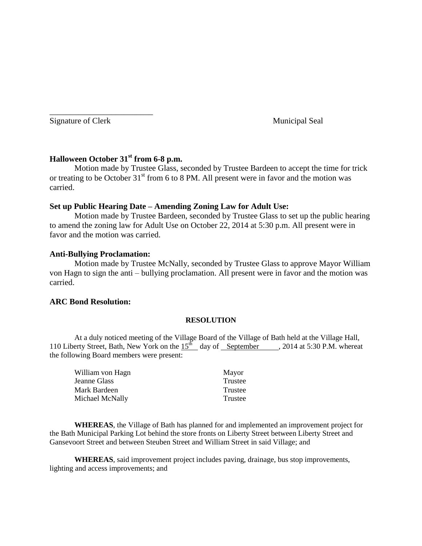Signature of Clerk Municipal Seal

\_\_\_\_\_\_\_\_\_\_\_\_\_\_\_\_\_\_\_\_\_\_\_\_\_

# **Halloween October 31st from 6-8 p.m.**

Motion made by Trustee Glass, seconded by Trustee Bardeen to accept the time for trick or treating to be October  $31<sup>st</sup>$  from 6 to 8 PM. All present were in favor and the motion was carried.

# **Set up Public Hearing Date – Amending Zoning Law for Adult Use:**

Motion made by Trustee Bardeen, seconded by Trustee Glass to set up the public hearing to amend the zoning law for Adult Use on October 22, 2014 at 5:30 p.m. All present were in favor and the motion was carried.

# **Anti-Bullying Proclamation:**

Motion made by Trustee McNally, seconded by Trustee Glass to approve Mayor William von Hagn to sign the anti – bullying proclamation. All present were in favor and the motion was carried.

### **ARC Bond Resolution:**

### **RESOLUTION**

At a duly noticed meeting of the Village Board of the Village of Bath held at the Village Hall, 110 Liberty Street, Bath, New York on the  $15^{th}$  day of September , 2014 at 5:30 P.M. whereat the following Board members were present:

| William von Hagn | Mayor   |
|------------------|---------|
| Jeanne Glass     | Trustee |
| Mark Bardeen     | Trustee |
| Michael McNally  | Trustee |

**WHEREAS**, the Village of Bath has planned for and implemented an improvement project for the Bath Municipal Parking Lot behind the store fronts on Liberty Street between Liberty Street and Gansevoort Street and between Steuben Street and William Street in said Village; and

**WHEREAS**, said improvement project includes paving, drainage, bus stop improvements, lighting and access improvements; and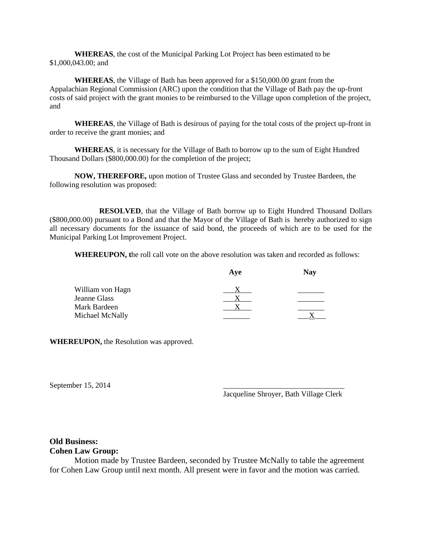**WHEREAS**, the cost of the Municipal Parking Lot Project has been estimated to be \$1,000,043.00; and

**WHEREAS**, the Village of Bath has been approved for a \$150,000.00 grant from the Appalachian Regional Commission (ARC) upon the condition that the Village of Bath pay the up-front costs of said project with the grant monies to be reimbursed to the Village upon completion of the project, and

**WHEREAS**, the Village of Bath is desirous of paying for the total costs of the project up-front in order to receive the grant monies; and

**WHEREAS**, it is necessary for the Village of Bath to borrow up to the sum of Eight Hundred Thousand Dollars (\$800,000.00) for the completion of the project;

**NOW, THEREFORE,** upon motion of Trustee Glass and seconded by Trustee Bardeen, the following resolution was proposed:

**RESOLVED**, that the Village of Bath borrow up to Eight Hundred Thousand Dollars (\$800,000.00) pursuant to a Bond and that the Mayor of the Village of Bath is hereby authorized to sign all necessary documents for the issuance of said bond, the proceeds of which are to be used for the Municipal Parking Lot Improvement Project.

**WHEREUPON, t**he roll call vote on the above resolution was taken and recorded as follows:

| Ave | <b>Nay</b> |
|-----|------------|
|     |            |
|     |            |
|     |            |
|     |            |
|     |            |

**WHEREUPON,** the Resolution was approved.

September  $15, 2014$ 

Jacqueline Shroyer, Bath Village Clerk

#### **Old Business: Cohen Law Group:**

Motion made by Trustee Bardeen, seconded by Trustee McNally to table the agreement for Cohen Law Group until next month. All present were in favor and the motion was carried.